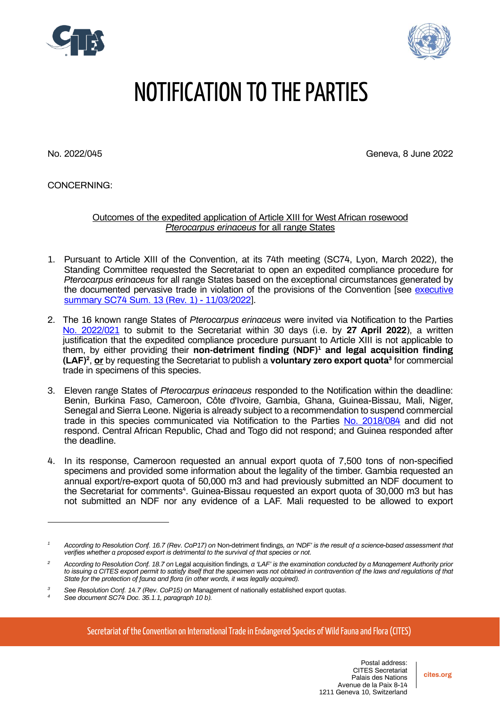



## NOTIFICATION TO THE PARTIES

No. 2022/045 Geneva, 8 June 2022

CONCERNING:

Outcomes of the expedited application of Article XIII for West African rosewood *Pterocarpus erinaceus* for all range States

- 1. Pursuant to Article XIII of the Convention, at its 74th meeting (SC74, Lyon, March 2022), the Standing Committee requested the Secretariat to open an expedited compliance procedure for *Pterocarpus erinaceus* for all range States based on the exceptional circumstances generated by the documented pervasive trade in violation of the provisions of the Convention [see [executive](https://cites.org/sites/default/files/eng/com/sc/74/exsum/E-SC74-Sum-13-R1.pdf)  summary [SC74 Sum. 13](https://cites.org/sites/default/files/eng/com/sc/74/exsum/E-SC74-Sum-13-R1.pdf) (Rev. 1) - 11/03/2022].
- 2. The 16 known range States of *Pterocarpus erinaceus* were invited via Notification to the Parties [No. 2022/021](https://cites.org/sites/default/files/notifications/E-Notif-2022-021.pdf) to submit to the Secretariat within 30 days (i.e. by **27 April 2022**), a written justification that the expedited compliance procedure pursuant to Article XIII is not applicable to them, by either providing their **non-detriment finding (NDF)<sup>1</sup> and legal acquisition finding (LAF)<sup>2</sup>** , **or** by requesting the Secretariat to publish a **voluntary zero export quota<sup>3</sup>** for commercial trade in specimens of this species.
- 3. Eleven range States of *Pterocarpus erinaceus* responded to the Notification within the deadline: Benin, Burkina Faso, Cameroon, Côte d'Ivoire, Gambia, Ghana, Guinea-Bissau, Mali, Niger, Senegal and Sierra Leone. Nigeria is already subject to a recommendation to suspend commercial trade in this species communicated via Notification to the Parties [No. 2018/084](https://cites.org/sites/default/files/notif/E-Notif-2018-084.pdf) and did not respond. Central African Republic, Chad and Togo did not respond; and Guinea responded after the deadline.
- 4. In its response, Cameroon requested an annual export quota of 7,500 tons of non-specified specimens and provided some information about the legality of the timber. Gambia requested an annual export/re-export quota of 50,000 m3 and had previously submitted an NDF document to the Secretariat for comments<sup>4</sup>. Guinea-Bissau requested an export quota of 30,000 m3 but has not submitted an NDF nor any evidence of a LAF. Mali requested to be allowed to export

Secretariat of the Convention on International Trade in Endangered Species of Wild Fauna and Flora (CITES)

*<sup>1</sup> According to Resolution Conf. 16.7 (Rev. CoP17) on* Non-detriment findings*, an 'NDF' is the result of a science-based assessment that verifies whether a proposed export is detrimental to the survival of that species or not.*

*<sup>2</sup> According to Resolution Conf. 18.7 on* Legal acquisition findings*, a 'LAF' is the examination conducted by a Management Authority prior to issuing a CITES export permit to satisfy itself that the specimen was not obtained in contravention of the laws and regulations of that State for the protection of fauna and flora (in other words, it was legally acquired).*

*<sup>3</sup> See Resolution Conf. 14.7 (Rev. CoP15) on* Management of nationally established export quotas.

*<sup>4</sup> See document SC74 Doc. 35.1.1, paragraph 10 b).*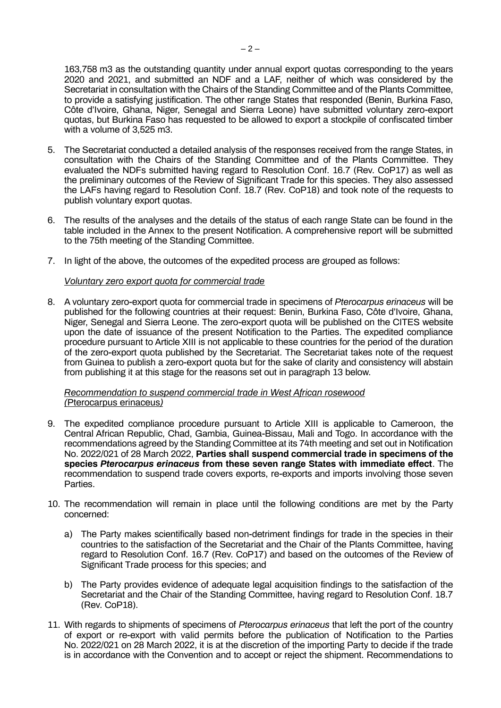163,758 m3 as the outstanding quantity under annual export quotas corresponding to the years 2020 and 2021, and submitted an NDF and a LAF, neither of which was considered by the Secretariat in consultation with the Chairs of the Standing Committee and of the Plants Committee, to provide a satisfying justification. The other range States that responded (Benin, Burkina Faso, Côte d'Ivoire, Ghana, Niger, Senegal and Sierra Leone) have submitted voluntary zero-export quotas, but Burkina Faso has requested to be allowed to export a stockpile of confiscated timber with a volume of 3,525 m3.

- 5. The Secretariat conducted a detailed analysis of the responses received from the range States, in consultation with the Chairs of the Standing Committee and of the Plants Committee. They evaluated the NDFs submitted having regard to Resolution Conf. 16.7 (Rev. CoP17) as well as the preliminary outcomes of the Review of Significant Trade for this species. They also assessed the LAFs having regard to Resolution Conf. 18.7 (Rev. CoP18) and took note of the requests to publish voluntary export quotas.
- 6. The results of the analyses and the details of the status of each range State can be found in the table included in the Annex to the present Notification. A comprehensive report will be submitted to the 75th meeting of the Standing Committee.
- 7. In light of the above, the outcomes of the expedited process are grouped as follows:

## *Voluntary zero export quota for commercial trade*

8. A voluntary zero-export quota for commercial trade in specimens of *Pterocarpus erinaceus* will be published for the following countries at their request: Benin, Burkina Faso, Côte d'Ivoire, Ghana, Niger, Senegal and Sierra Leone. The zero-export quota will be published on the CITES website upon the date of issuance of the present Notification to the Parties. The expedited compliance procedure pursuant to Article XIII is not applicable to these countries for the period of the duration of the zero-export quota published by the Secretariat. The Secretariat takes note of the request from Guinea to publish a zero-export quota but for the sake of clarity and consistency will abstain from publishing it at this stage for the reasons set out in paragraph 13 below.

## *Recommendation to suspend commercial trade in West African rosewood (*Pterocarpus erinaceus*)*

- 9. The expedited compliance procedure pursuant to Article XIII is applicable to Cameroon, the Central African Republic, Chad, Gambia, Guinea-Bissau, Mali and Togo. In accordance with the recommendations agreed by the Standing Committee at its 74th meeting and set out in Notification No. 2022/021 of 28 March 2022, **Parties shall suspend commercial trade in specimens of the species** *Pterocarpus erinaceus* **from these seven range States with immediate effect**. The recommendation to suspend trade covers exports, re-exports and imports involving those seven Parties.
- 10. The recommendation will remain in place until the following conditions are met by the Party concerned:
	- a) The Party makes scientifically based non-detriment findings for trade in the species in their countries to the satisfaction of the Secretariat and the Chair of the Plants Committee, having regard to Resolution Conf. 16.7 (Rev. CoP17) and based on the outcomes of the Review of Significant Trade process for this species; and
	- b) The Party provides evidence of adequate legal acquisition findings to the satisfaction of the Secretariat and the Chair of the Standing Committee, having regard to Resolution Conf. 18.7 (Rev. CoP18).
- 11. With regards to shipments of specimens of *Pterocarpus erinaceus* that left the port of the country of export or re-export with valid permits before the publication of Notification to the Parties No. 2022/021 on 28 March 2022, it is at the discretion of the importing Party to decide if the trade is in accordance with the Convention and to accept or reject the shipment. Recommendations to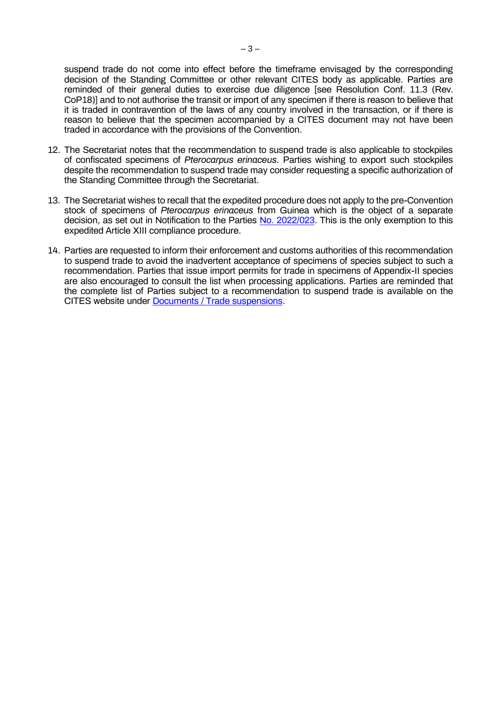suspend trade do not come into effect before the timeframe envisaged by the corresponding decision of the Standing Committee or other relevant CITES body as applicable. Parties are reminded of their general duties to exercise due diligence [see Resolution Conf. 11.3 (Rev. CoP18)] and to not authorise the transit or import of any specimen if there is reason to believe that it is traded in contravention of the laws of any country involved in the transaction, or if there is reason to believe that the specimen accompanied by a CITES document may not have been traded in accordance with the provisions of the Convention.

- 12. The Secretariat notes that the recommendation to suspend trade is also applicable to stockpiles of confiscated specimens of *Pterocarpus erinaceus.* Parties wishing to export such stockpiles despite the recommendation to suspend trade may consider requesting a specific authorization of the Standing Committee through the Secretariat.
- 13. The Secretariat wishes to recall that the expedited procedure does not apply to the pre-Convention stock of specimens of *Pterocarpus erinaceus* from Guinea which is the object of a separate decision, as set out in Notification to the Parties [No. 2022/023.](https://cites.org/sites/default/files/notifications/E-Notif-2022-023.pdf) This is the only exemption to this expedited Article XIII compliance procedure.
- 14. Parties are requested to inform their enforcement and customs authorities of this recommendation to suspend trade to avoid the inadvertent acceptance of specimens of species subject to such a recommendation. Parties that issue import permits for trade in specimens of Appendix-II species are also encouraged to consult the list when processing applications. Parties are reminded that the complete list of Parties subject to a recommendation to suspend trade is available on the CITES website under [Documents / Trade suspensions.](https://www.cites.org/eng/resources/ref/suspend.php)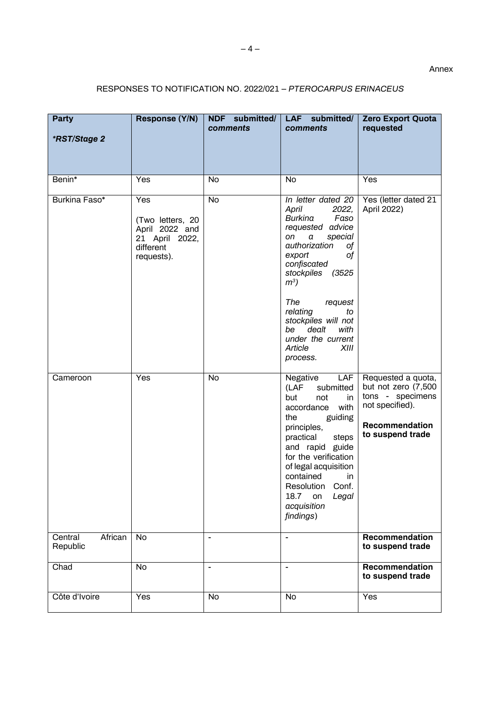## RESPONSES TO NOTIFICATION NO. 2022/021 – *PTEROCARPUS ERINACEUS*

| <b>Party</b><br>*RST/Stage 2   | Response (Y/N)                                                                         | NDF submitted/<br>comments | LAF submitted/<br>comments                                                                                                                                                                                                                                                                       | <b>Zero Export Quota</b><br>requested                                                                                  |
|--------------------------------|----------------------------------------------------------------------------------------|----------------------------|--------------------------------------------------------------------------------------------------------------------------------------------------------------------------------------------------------------------------------------------------------------------------------------------------|------------------------------------------------------------------------------------------------------------------------|
| Benin*                         | Yes                                                                                    | <b>No</b>                  | <b>No</b>                                                                                                                                                                                                                                                                                        | Yes                                                                                                                    |
| Burkina Faso*                  | Yes<br>(Two letters, 20<br>April 2022 and<br>21 April 2022,<br>different<br>requests). | <b>No</b>                  | In letter dated 20<br>April<br>2022,<br>Burkina<br>Faso<br>requested advice<br>on<br>special<br>a<br>authorization<br>оf<br>export<br>οf<br>confiscated<br>stockpiles<br>(3525                                                                                                                   | Yes (letter dated 21<br>April 2022)                                                                                    |
|                                |                                                                                        |                            | $m^3$ )<br>The<br>request<br>relating<br>to<br>stockpiles will not<br>dealt<br>with<br>be<br>under the current<br>Article<br>XIII<br>process.                                                                                                                                                    |                                                                                                                        |
| Cameroon                       | Yes                                                                                    | <b>No</b>                  | LAF<br>Negative<br>(LAF<br>submitted<br>but<br>not<br>in<br>accordance<br>with<br>guiding<br>the<br>principles,<br>practical<br>steps<br>and rapid guide<br>for the verification<br>of legal acquisition<br>contained<br>in.<br>Resolution Conf.<br>18.7 on<br>Legal<br>acquisition<br>findings) | Requested a quota,<br>but not zero (7,500<br>tons - specimens<br>not specified).<br>Recommendation<br>to suspend trade |
| African<br>Central<br>Republic | <b>No</b>                                                                              |                            | $\overline{\phantom{a}}$                                                                                                                                                                                                                                                                         | Recommendation<br>to suspend trade                                                                                     |
| Chad                           | <b>No</b>                                                                              | $\overline{a}$             | $\overline{a}$                                                                                                                                                                                                                                                                                   | Recommendation<br>to suspend trade                                                                                     |
| Côte d'Ivoire                  | Yes                                                                                    | <b>No</b>                  | No                                                                                                                                                                                                                                                                                               | Yes                                                                                                                    |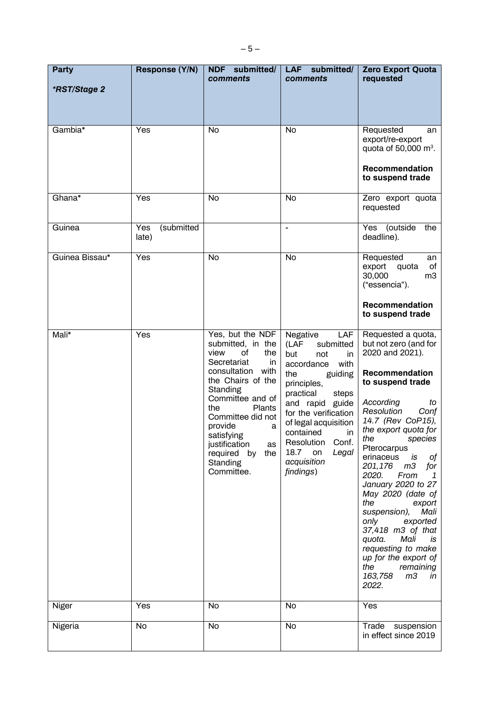| <b>Party</b><br><i><b>*RST/Stage 2</b></i> | Response (Y/N)             | NDF submitted/<br>comments                                                                                                                                                                                                                                                                                      | LAF submitted/<br>comments                                                                                                                                                                                                                                                                             | <b>Zero Export Quota</b><br>requested                                                                                                                                                                                                                                                                                                                                                                                                                                                                                                                                              |
|--------------------------------------------|----------------------------|-----------------------------------------------------------------------------------------------------------------------------------------------------------------------------------------------------------------------------------------------------------------------------------------------------------------|--------------------------------------------------------------------------------------------------------------------------------------------------------------------------------------------------------------------------------------------------------------------------------------------------------|------------------------------------------------------------------------------------------------------------------------------------------------------------------------------------------------------------------------------------------------------------------------------------------------------------------------------------------------------------------------------------------------------------------------------------------------------------------------------------------------------------------------------------------------------------------------------------|
| Gambia*                                    | Yes                        | No                                                                                                                                                                                                                                                                                                              | <b>No</b>                                                                                                                                                                                                                                                                                              | Requested<br>an<br>export/re-export<br>quota of 50,000 $m^3$ .<br>Recommendation<br>to suspend trade                                                                                                                                                                                                                                                                                                                                                                                                                                                                               |
| Ghana*                                     | Yes                        | No                                                                                                                                                                                                                                                                                                              | <b>No</b>                                                                                                                                                                                                                                                                                              | Zero export quota<br>requested                                                                                                                                                                                                                                                                                                                                                                                                                                                                                                                                                     |
| Guinea                                     | (submitted<br>Yes<br>late) |                                                                                                                                                                                                                                                                                                                 | $\overline{a}$                                                                                                                                                                                                                                                                                         | Yes (outside<br>the<br>deadline).                                                                                                                                                                                                                                                                                                                                                                                                                                                                                                                                                  |
| Guinea Bissau*                             | Yes                        | No                                                                                                                                                                                                                                                                                                              | <b>No</b>                                                                                                                                                                                                                                                                                              | Requested<br>an<br>export<br>quota<br>of<br>30,000<br>m <sub>3</sub><br>("essencia").                                                                                                                                                                                                                                                                                                                                                                                                                                                                                              |
|                                            |                            |                                                                                                                                                                                                                                                                                                                 |                                                                                                                                                                                                                                                                                                        | Recommendation<br>to suspend trade                                                                                                                                                                                                                                                                                                                                                                                                                                                                                                                                                 |
| Mali*                                      | Yes                        | Yes, but the NDF<br>submitted, in the<br>view<br>of<br>the<br>Secretariat<br>in.<br>consultation<br>with<br>the Chairs of the<br>Standing<br>Committee and of<br>the<br><b>Plants</b><br>Committee did not<br>provide<br>a<br>satisfying<br>justification<br>as<br>required by<br>the<br>Standing<br>Committee. | Negative<br>LAF<br>(LAF<br>submitted<br>but<br>not<br>in.<br>accordance<br>with<br>the<br>guiding<br>principles,<br>practical<br>steps<br>and rapid guide<br>for the verification<br>of legal acquisition<br>contained<br>in<br>Conf.<br>Resolution<br>18.7<br>Legal<br>on<br>acquisition<br>findings) | Requested a quota,<br>but not zero (and for<br>2020 and 2021).<br>Recommendation<br>to suspend trade<br>According<br>to<br>Resolution<br>Conf<br>14.7 (Rev CoP15),<br>the export quota for<br>the<br>species<br>Pterocarpus<br>оf<br>erinaceus<br>is<br>m <sub>3</sub><br>201,176<br>for<br>2020.<br>From<br>1<br>January 2020 to 27<br>May 2020 (date of<br>the<br>export<br>Mali<br>suspension),<br>only<br>exported<br>37,418 m3 of that<br>Mali<br>quota.<br>is.<br>requesting to make<br>up for the export of<br>the<br>remaining<br>m <sub>3</sub><br>163,758<br>in<br>2022. |
| Niger                                      | Yes                        | No                                                                                                                                                                                                                                                                                                              | No                                                                                                                                                                                                                                                                                                     | Yes                                                                                                                                                                                                                                                                                                                                                                                                                                                                                                                                                                                |
| Nigeria                                    | <b>No</b>                  | <b>No</b>                                                                                                                                                                                                                                                                                                       | <b>No</b>                                                                                                                                                                                                                                                                                              | Trade<br>suspension<br>in effect since 2019                                                                                                                                                                                                                                                                                                                                                                                                                                                                                                                                        |